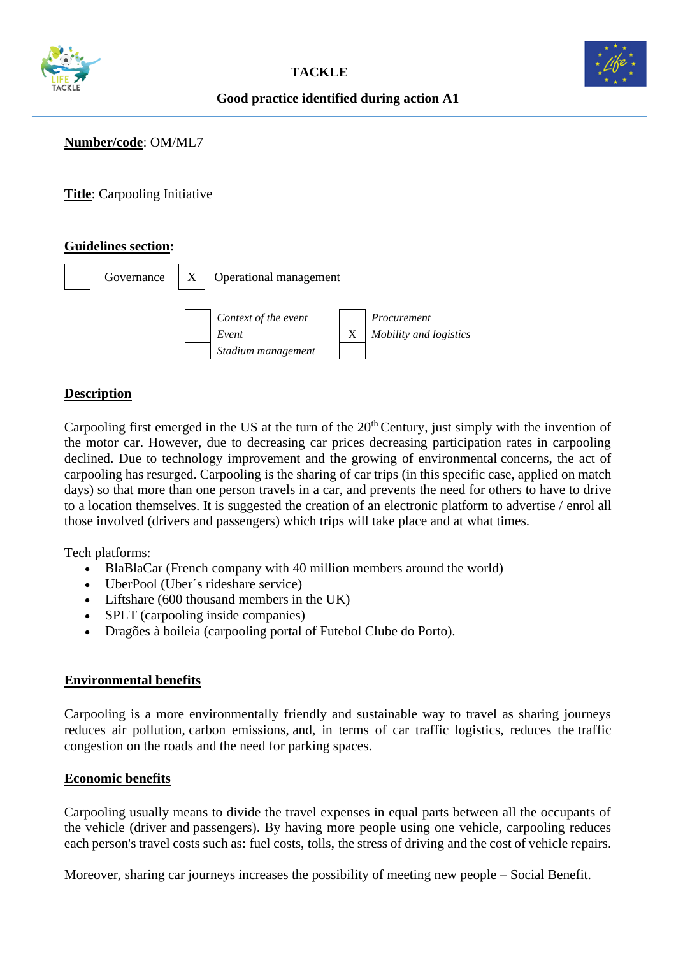



# **Good practice identified during action A1**

## **Number/code**: OM/ML7

**Title**: Carpooling Initiative

### **Guidelines section:**



### **Description**

Carpooling first emerged in the US at the turn of the 20<sup>th</sup> Century, just simply with the invention of the motor car. However, due to decreasing car prices decreasing participation rates in carpooling declined. Due to technology improvement and the growing of environmental concerns, the act of carpooling has resurged. Carpooling is the sharing of [car](https://en.wikipedia.org/wiki/Automobile) trips (in this specific case, applied on match days) so that more than one person travels in a car, and prevents the need for others to have to drive to a location themselves. It is suggested the creation of an electronic platform to advertise / enrol all those involved (drivers and passengers) which trips will take place and at what times.

Tech platforms:

- BlaBlaCar (French company with 40 million members around the world)
- UberPool (Uber's rideshare service)
- Liftshare (600 thousand members in the UK)
- SPLT (carpooling inside companies)
- Dragões à boileia (carpooling portal of Futebol Clube do Porto).

### **Environmental benefits**

Carpooling is a more environmentally friendly and sustainable way to travel as sharing journeys reduces air pollution, [carbon emissions,](https://en.wikipedia.org/wiki/Carbon_emissions) and, in terms of car traffic logistics, reduces the [traffic](https://en.wikipedia.org/wiki/Traffic_congestion)  [congestion](https://en.wikipedia.org/wiki/Traffic_congestion) on the roads and the need for [parking](https://en.wikipedia.org/wiki/Parking) spaces.

#### **Economic benefits**

Carpooling usually means to divide the travel expenses in equal parts between all the occupants of the vehicle (driver and passengers). By having more people using one vehicle, carpooling reduces each person's travel costs such as: [fuel costs,](https://en.wikipedia.org/wiki/Gasoline_and_diesel_usage_and_pricing) [tolls,](https://en.wikipedia.org/wiki/Toll_road) the stress of driving and the cost of vehicle repairs.

Moreover, sharing car journeys increases the possibility of meeting new people – Social Benefit.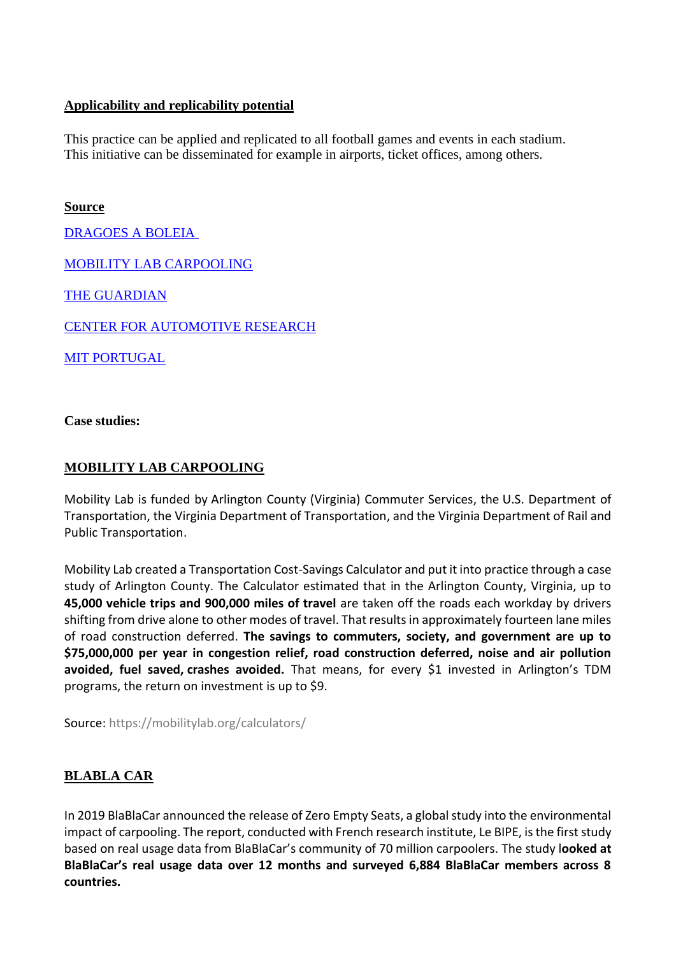## **Applicability and replicability potential**

This practice can be applied and replicated to all football games and events in each stadium. This initiative can be disseminated for example in airports, ticket offices, among others.

**Source**

[DRAGOES A BOLEIA](https://dragoes.boleia.net/o-que-e-o-dragoes-boleia)

[MOBILITY LAB CARPOOLING](https://mobilitylab.org/carpooling/)

[THE GUARDIAN](https://www.theguardian.com/small-business-network/2017/sep/25/carpooling-mainstream-congestion-splt-gokid)

[CENTER FOR AUTOMOTIVE RESEARCH](http://www.cargroup.org/wp-content/uploads/2017/02/New-Mobility-Services-White-Paper.pdf)

[MIT PORTUGAL](https://www.mitportugal.org/about/documents/transportation-systems-1/related-literature/230-a-structured-simulation-based-methodology-for-carpooling-viability-assessment/file)

**Case studies:**

# **[MOBILITY LAB CARPOOLING](https://mobilitylab.org/carpooling/)**

Mobility Lab is funded by [Arlington County \(Virginia\) Commuter Services,](http://www.commuterpage.com/pages/about/arlington-county-commuter-services/) the U.S. Department of Transportation, the Virginia Department of Transportation, and the Virginia Department of Rail and Public Transportation.

Mobility Lab created a Transportation Cost-Savings Calculator and put it into practice through a case study of Arlington County. The Calculator estimated that in the Arlington County, Virginia, up to **45,000 vehicle trips and 900,000 miles of travel** are taken off the roads each workday by drivers shifting from drive alone to other modes of travel. That results in approximately fourteen lane miles of road construction deferred. **The savings to commuters, society, and government are up to \$75,000,000 per year in congestion relief, road construction deferred, noise and air pollution avoided, fuel saved, crashes avoided.** That means, for every \$1 invested in Arlington's TDM programs, the return on investment is up to \$9.

Source:<https://mobilitylab.org/calculators/>

# **[BLABLA CAR](https://blog.blablacar.com/newsroom/news-list/zeroemptyseats)**

In 2019 BlaBlaCar announced the release of Zero Empty Seats, a global study into the environmental impact of carpooling. The report, conducted with French research institute, Le BIPE, is the first study based on real usage data from BlaBlaCar's community of 70 million carpoolers. The study l**ooked at BlaBlaCar's real usage data over 12 months and surveyed 6,884 BlaBlaCar members across 8 countries.**